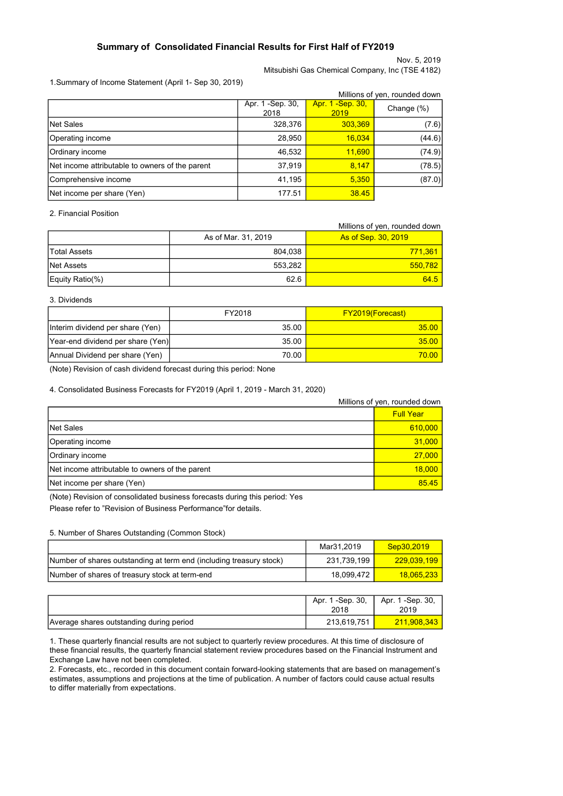### Summary of Consolidated Financial Results for First Half of FY2019

Nov. 5, 2019 Mitsubishi Gas Chemical Company, Inc (TSE 4182)

1.Summary of Income Statement (April 1- Sep 30, 2019)

|                                                 |                          |                           | Millions of yen, rounded down |
|-------------------------------------------------|--------------------------|---------------------------|-------------------------------|
|                                                 | Apr. 1 -Sep. 30,<br>2018 | Apr. 1 - Sep. 30,<br>2019 | Change (%)                    |
| <b>Net Sales</b>                                | 328,376                  | 303,369                   | (7.6)                         |
| Operating income                                | 28,950                   | 16,034                    | (44.6)                        |
| Ordinary income                                 | 46,532                   | 11,690                    | (74.9)                        |
| Net income attributable to owners of the parent | 37,919                   | 8,147                     | (78.5)                        |
| Comprehensive income                            | 41,195                   | 5,350                     | (87.0)                        |
| Net income per share (Yen)                      | 177.51                   | 38.45                     |                               |

2. Financial Position

|                     |                     | Millions of yen, rounded down |
|---------------------|---------------------|-------------------------------|
|                     | As of Mar. 31, 2019 | <b>As of Sep. 30, 2019</b>    |
| <b>Total Assets</b> | 804,038             | 771,361                       |
| Net Assets          | 553,282             | 550.782                       |
| Equity Ratio(%)     | 62.6                | $64.5$                        |

#### 3. Dividends

|                                   | FY2018 | <b>FY2019(Forecast)</b> |
|-----------------------------------|--------|-------------------------|
| Interim dividend per share (Yen)  | 35.00  | 35.00                   |
| Year-end dividend per share (Yen) | 35.00  | $35.00$                 |
| Annual Dividend per share (Yen)   | 70.00  | 70.00                   |

(Note) Revision of cash dividend forecast during this period: None

4. Consolidated Business Forecasts for FY2019 (April 1, 2019 - March 31, 2020)

|                                                 | Millions of yen, rounded down |
|-------------------------------------------------|-------------------------------|
|                                                 | <b>Full Year</b>              |
| <b>Net Sales</b>                                | 610,000                       |
| Operating income                                | 31,000                        |
| Ordinary income                                 | 27,000                        |
| Net income attributable to owners of the parent | 18,000                        |
| Net income per share (Yen)                      | 85.45                         |

(Note) Revision of consolidated business forecasts during this period: Yes Please refer to "Revision of Business Performance"for details.

5. Number of Shares Outstanding (Common Stock)

|                                                                      | Mar31.2019  | Sep30.2019  |
|----------------------------------------------------------------------|-------------|-------------|
| (Number of shares outstanding at term end (including treasury stock) | 231.739.199 | 229.039.199 |
| Number of shares of treasury stock at term-end                       | 18.099.472  | 18.065.233  |

|                                          | Apr. 1 -Sep. 30.<br>2018 | Apr. 1 -Sep. 30,<br>2019 |
|------------------------------------------|--------------------------|--------------------------|
| Average shares outstanding during period | 213,619,751              | 211,908,343              |

1. These quarterly financial results are not subject to quarterly review procedures. At this time of disclosure of these financial results, the quarterly financial statement review procedures based on the Financial Instrument and Exchange Law have not been completed.

2. Forecasts, etc., recorded in this document contain forward-looking statements that are based on management's estimates, assumptions and projections at the time of publication. A number of factors could cause actual results to differ materially from expectations.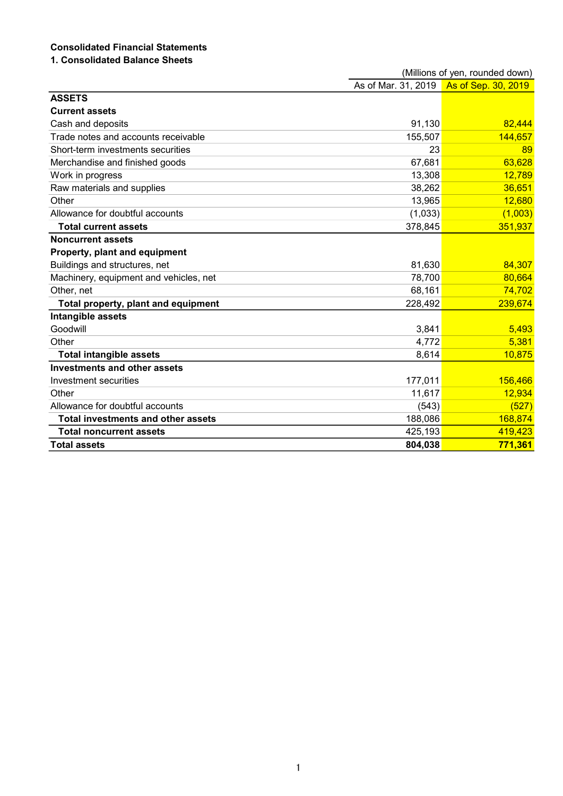# Consolidated Financial Statements

## 1. Consolidated Balance Sheets

|                                           |                     | (Millions of yen, rounded down) |
|-------------------------------------------|---------------------|---------------------------------|
|                                           | As of Mar. 31, 2019 | As of Sep. 30, 2019             |
| <b>ASSETS</b>                             |                     |                                 |
| <b>Current assets</b>                     |                     |                                 |
| Cash and deposits                         | 91,130              | 82,444                          |
| Trade notes and accounts receivable       | 155,507             | 144,657                         |
| Short-term investments securities         | 23                  | 89                              |
| Merchandise and finished goods            | 67,681              | 63,628                          |
| Work in progress                          | 13,308              | 12,789                          |
| Raw materials and supplies                | 38,262              | 36,651                          |
| Other                                     | 13,965              | 12,680                          |
| Allowance for doubtful accounts           | (1,033)             | (1,003)                         |
| <b>Total current assets</b>               | 378,845             | 351,937                         |
| <b>Noncurrent assets</b>                  |                     |                                 |
| Property, plant and equipment             |                     |                                 |
| Buildings and structures, net             | 81,630              | 84,307                          |
| Machinery, equipment and vehicles, net    | 78,700              | 80,664                          |
| Other, net                                | 68,161              | 74,702                          |
| Total property, plant and equipment       | 228,492             | 239,674                         |
| Intangible assets                         |                     |                                 |
| Goodwill                                  | 3,841               | 5,493                           |
| Other                                     | 4,772               | 5,381                           |
| <b>Total intangible assets</b>            | 8,614               | 10,875                          |
| <b>Investments and other assets</b>       |                     |                                 |
| Investment securities                     | 177,011             | 156,466                         |
| Other                                     | 11,617              | 12,934                          |
| Allowance for doubtful accounts           | (543)               | (527)                           |
| <b>Total investments and other assets</b> | 188,086             | 168,874                         |
| <b>Total noncurrent assets</b>            | 425,193             | 419,423                         |
| <b>Total assets</b>                       | 804,038             | 771,361                         |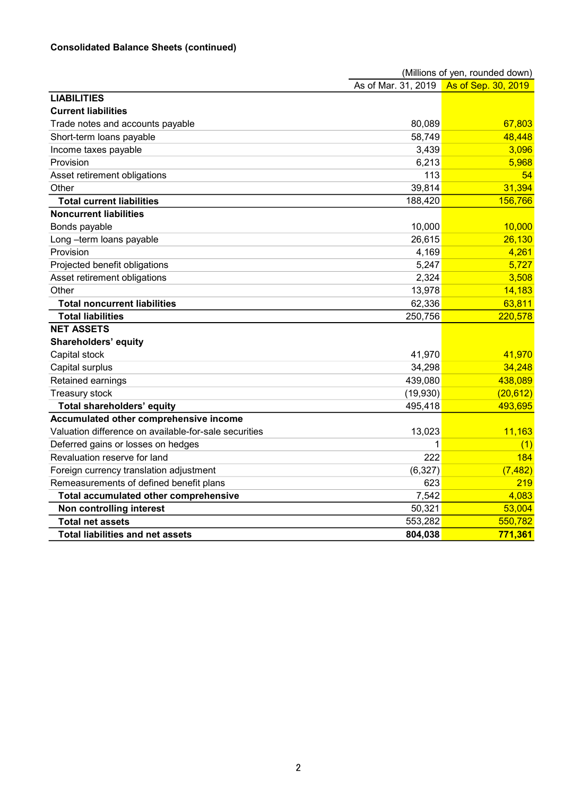## Consolidated Balance Sheets (continued)

|                                                       |                     | (Millions of yen, rounded down) |
|-------------------------------------------------------|---------------------|---------------------------------|
|                                                       | As of Mar. 31, 2019 | As of Sep. 30, 2019             |
| <b>LIABILITIES</b>                                    |                     |                                 |
| <b>Current liabilities</b>                            |                     |                                 |
| Trade notes and accounts payable                      | 80,089              | 67,803                          |
| Short-term loans payable                              | 58,749              | 48,448                          |
| Income taxes payable                                  | 3,439               | 3,096                           |
| Provision                                             | 6,213               | 5,968                           |
| Asset retirement obligations                          | 113                 | 54                              |
| Other                                                 | 39,814              | 31,394                          |
| <b>Total current liabilities</b>                      | 188,420             | 156,766                         |
| <b>Noncurrent liabilities</b>                         |                     |                                 |
| Bonds payable                                         | 10,000              | 10,000                          |
| Long-term loans payable                               | 26,615              | 26,130                          |
| Provision                                             | 4,169               | 4,261                           |
| Projected benefit obligations                         | 5,247               | 5,727                           |
| Asset retirement obligations                          | 2,324               | 3,508                           |
| Other                                                 | 13,978              | 14,183                          |
| <b>Total noncurrent liabilities</b>                   | 62,336              | 63,811                          |
| <b>Total liabilities</b>                              | 250,756             | 220,578                         |
| <b>NET ASSETS</b>                                     |                     |                                 |
| Shareholders' equity                                  |                     |                                 |
| Capital stock                                         | 41,970              | 41,970                          |
| Capital surplus                                       | 34,298              | 34,248                          |
| Retained earnings                                     | 439,080             | 438,089                         |
| Treasury stock                                        | (19,930)            | (20, 612)                       |
| <b>Total shareholders' equity</b>                     | 495,418             | 493,695                         |
| Accumulated other comprehensive income                |                     |                                 |
| Valuation difference on available-for-sale securities | 13,023              | 11,163                          |
| Deferred gains or losses on hedges                    | 1                   | (1)                             |
| Revaluation reserve for land                          | 222                 | 184                             |
| Foreign currency translation adjustment               | (6, 327)            | (7, 482)                        |
| Remeasurements of defined benefit plans               | 623                 | 219                             |
| Total accumulated other comprehensive                 | 7,542               | 4,083                           |
| Non controlling interest                              | 50,321              | 53,004                          |
| <b>Total net assets</b>                               | 553,282             | 550,782                         |
| <b>Total liabilities and net assets</b>               | 804,038             | 771,361                         |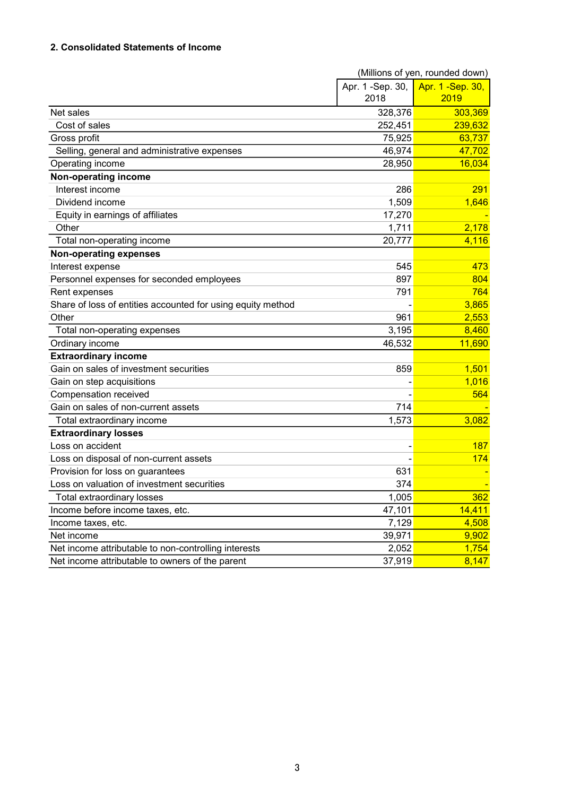## 2. Consolidated Statements of Income

|                                                             |                  | (Millions of yen, rounded down) |
|-------------------------------------------------------------|------------------|---------------------------------|
|                                                             | Apr. 1 -Sep. 30, | Apr. 1 - Sep. 30,               |
|                                                             | 2018             | 2019                            |
| Net sales                                                   | 328,376          | 303,369                         |
| Cost of sales                                               | 252,451          | 239,632                         |
| Gross profit                                                | 75,925           | 63,737                          |
| Selling, general and administrative expenses                | 46,974           | 47,702                          |
| Operating income                                            | 28,950           | 16,034                          |
| Non-operating income                                        |                  |                                 |
| Interest income                                             | 286              | 291                             |
| Dividend income                                             | 1,509            | 1,646                           |
| Equity in earnings of affiliates                            | 17,270           |                                 |
| Other                                                       | 1,711            | 2,178                           |
| Total non-operating income                                  | 20,777           | 4,116                           |
| <b>Non-operating expenses</b>                               |                  |                                 |
| Interest expense                                            | 545              | 473                             |
| Personnel expenses for seconded employees                   | 897              | 804                             |
| Rent expenses                                               | 791              | 764                             |
| Share of loss of entities accounted for using equity method |                  | 3,865                           |
| Other                                                       | 961              | 2,553                           |
| Total non-operating expenses                                | 3,195            | 8,460                           |
| Ordinary income                                             | 46,532           | 11,690                          |
| <b>Extraordinary income</b>                                 |                  |                                 |
| Gain on sales of investment securities                      | 859              | 1,501                           |
| Gain on step acquisitions                                   |                  | 1,016                           |
| Compensation received                                       |                  | 564                             |
| Gain on sales of non-current assets                         | 714              |                                 |
| Total extraordinary income                                  | 1,573            | 3,082                           |
| <b>Extraordinary losses</b>                                 |                  |                                 |
| Loss on accident                                            |                  | 187                             |
| Loss on disposal of non-current assets                      |                  | 174                             |
| Provision for loss on guarantees                            | 631              |                                 |
| Loss on valuation of investment securities                  | 374              |                                 |
| Total extraordinary losses                                  | 1,005            | 362                             |
| Income before income taxes, etc.                            | 47,101           | 14,411                          |
| Income taxes, etc.                                          | 7,129            | 4,508                           |
| Net income                                                  | 39,971           | 9,902                           |
| Net income attributable to non-controlling interests        | 2,052            | 1,754                           |
| Net income attributable to owners of the parent             | 37,919           | 8,147                           |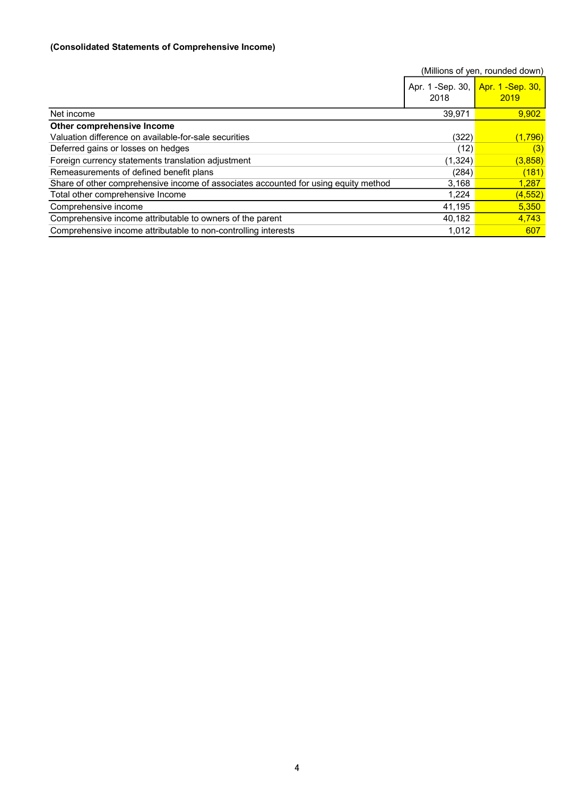### (Consolidated Statements of Comprehensive Income)

|                                                                                     |                           | (Millions of yen, rounded down) |
|-------------------------------------------------------------------------------------|---------------------------|---------------------------------|
|                                                                                     | Apr. 1 - Sep. 30,<br>2018 | Apr. 1 - Sep. 30,<br>2019       |
| Net income                                                                          | 39.971                    | 9.902                           |
| Other comprehensive Income                                                          |                           |                                 |
| Valuation difference on available-for-sale securities                               | (322)                     | (1,796)                         |
| Deferred gains or losses on hedges                                                  | (12)                      | (3)                             |
| Foreign currency statements translation adjustment                                  | (1, 324)                  | (3,858)                         |
| Remeasurements of defined benefit plans                                             | (284)                     | (181)                           |
| Share of other comprehensive income of associates accounted for using equity method | 3,168                     | 1,287                           |
| Total other comprehensive Income                                                    | 1,224                     | (4, 552)                        |
| Comprehensive income                                                                | 41,195                    | 5,350                           |
| Comprehensive income attributable to owners of the parent                           | 40,182                    | 4,743                           |
| Comprehensive income attributable to non-controlling interests                      | 1,012                     | 607                             |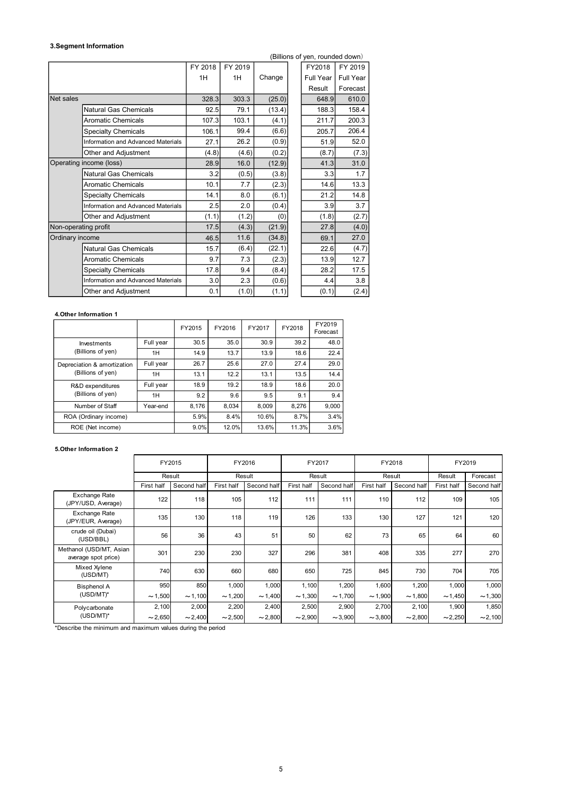#### 3.Segment Information

|                         |                                    |                              |         |                           |         |                              |        | (Billions of yen, rounded down)                                                             |           |        |        |            |             |       |  |  |  |
|-------------------------|------------------------------------|------------------------------|---------|---------------------------|---------|------------------------------|--------|---------------------------------------------------------------------------------------------|-----------|--------|--------|------------|-------------|-------|--|--|--|
|                         |                                    |                              | FY 2018 |                           | FY 2019 |                              |        | FY2018                                                                                      | FY 2019   |        |        |            |             |       |  |  |  |
|                         |                                    |                              | 1H      |                           | 1H      | Change                       |        | <b>Full Year</b>                                                                            | Full Year |        |        |            |             |       |  |  |  |
|                         |                                    |                              |         |                           |         |                              |        | Result                                                                                      | Forecast  |        |        |            |             |       |  |  |  |
| Net sales               |                                    |                              |         | 328.3                     | 303.3   | (25.0)                       |        | 648.9                                                                                       |           | 610.0  |        |            |             |       |  |  |  |
|                         |                                    |                              |         |                           |         | <b>Natural Gas Chemicals</b> |        | 92.5                                                                                        | 79.1      | (13.4) |        | 188.3      |             | 158.4 |  |  |  |
|                         | <b>Aromatic Chemicals</b>          |                              |         | 107.3                     | 103.1   | (4.1)                        |        | 211.7                                                                                       |           | 200.3  |        |            |             |       |  |  |  |
|                         | Specialty Chemicals                |                              |         | 106.1                     | 99.4    | (6.6)                        |        | 205.7                                                                                       |           | 206.4  |        |            |             |       |  |  |  |
|                         | Information and Advanced Materials |                              |         | 27.1                      | 26.2    | (0.9)                        |        | 51.9                                                                                        |           | 52.0   |        |            |             |       |  |  |  |
|                         | Other and Adjustment               |                              |         | (4.8)                     | (4.6)   | (0.2)                        |        | (8.7)                                                                                       |           | (7.3)  |        |            |             |       |  |  |  |
| Operating income (loss) |                                    |                              |         | 28.9                      | 16.0    | (12.9)                       |        | 41.3                                                                                        |           | 31.0   |        |            |             |       |  |  |  |
|                         | <b>Natural Gas Chemicals</b>       |                              |         | 3.2                       | (0.5)   | (3.8)                        |        | 3.3                                                                                         |           | 1.7    |        |            |             |       |  |  |  |
|                         | <b>Aromatic Chemicals</b>          |                              |         | 10.1                      | 7.7     | (2.3)                        |        | 14.6                                                                                        |           | 13.3   |        |            |             |       |  |  |  |
|                         | <b>Specialty Chemicals</b>         |                              |         | 14.1                      | 8.0     | (6.1)                        |        | 21.2                                                                                        |           | 14.8   |        |            |             |       |  |  |  |
|                         | Information and Advanced Materials |                              |         | 2.5                       | 2.0     | (0.4)                        |        | 3.9                                                                                         |           | 3.7    |        |            |             |       |  |  |  |
|                         | Other and Adjustment               |                              |         | (1.1)                     | (1.2)   |                              | (0)    | (1.8)                                                                                       |           | (2.7)  |        |            |             |       |  |  |  |
| Non-operating profit    |                                    |                              |         | 17.5                      | (4.3)   | (21.9)                       |        | 27.8                                                                                        |           | (4.0)  |        |            |             |       |  |  |  |
| Ordinary income         |                                    |                              |         | 46.5                      | 11.6    | (34.8)                       |        | 69.1                                                                                        |           | 27.0   |        |            |             |       |  |  |  |
|                         |                                    | <b>Natural Gas Chemicals</b> |         | 15.7                      | (6.4)   | (22.1)                       |        | 22.6                                                                                        |           | (4.7)  |        |            |             |       |  |  |  |
|                         | <b>Aromatic Chemicals</b>          |                              |         | 9.7                       | 7.3     | (2.3)                        |        | 13.9                                                                                        |           | 12.7   |        |            |             |       |  |  |  |
|                         | <b>Specialty Chemicals</b>         |                              |         | 9.4<br>17.8<br>2.3<br>3.0 |         | (8.4)                        |        | 28.2                                                                                        |           | 17.5   |        |            |             |       |  |  |  |
|                         | Information and Advanced Materials |                              |         |                           |         | (0.6)                        |        | 4.4                                                                                         |           | 3.8    |        |            |             |       |  |  |  |
|                         | Other and Adjustment               |                              |         | 0.1                       | (1.0)   | (1.1)                        |        | (0.1)                                                                                       |           | (2.4)  |        |            |             |       |  |  |  |
|                         |                                    |                              |         |                           |         |                              |        |                                                                                             |           |        |        |            |             |       |  |  |  |
| 4. Other Information 1  |                                    |                              |         |                           |         |                              |        |                                                                                             |           |        |        |            |             |       |  |  |  |
|                         |                                    |                              | FY2015  | FY2016                    |         | FY2017                       | FY2018 | FY2019<br>Forecast                                                                          |           |        |        |            |             |       |  |  |  |
|                         | Investments                        | Full year                    | 30.5    | 35.0                      |         | 30.9                         | 39.2   | 48.0                                                                                        |           |        |        |            |             |       |  |  |  |
|                         | (Billions of yen)                  | 1H                           | 14.9    | 13.7                      |         | 13.9                         | 18.6   | 22.4                                                                                        |           |        |        |            |             |       |  |  |  |
|                         | Depreciation & amortization        | Full year                    | 26.7    | 25.6                      |         | 27.0                         | 27.4   | 29.0                                                                                        |           |        |        |            |             |       |  |  |  |
|                         | (Billions of yen)                  | 1H                           | 13.1    | 12.2                      |         | 13.1                         | 13.5   | 14.4                                                                                        |           |        |        |            |             |       |  |  |  |
|                         | R&D expenditures                   | Full year                    | 18.9    | 19.2                      |         | 18.9                         | 18.6   | 20.0                                                                                        |           |        |        |            |             |       |  |  |  |
|                         | (Billions of yen)                  | 1H                           | 9.2     | 9.6                       |         | 9.5                          | 9.1    |                                                                                             | 9.4       |        |        |            |             |       |  |  |  |
|                         | Number of Staff                    | Year-end                     | 8,176   | 8,034                     |         | 8,009                        | 8,276  | 9,000                                                                                       |           |        |        |            |             |       |  |  |  |
|                         | ROA (Ordinary income)              |                              | 5.9%    | 8.4%                      |         | 10.6%                        | 8.7%   | 3.4%                                                                                        |           |        |        |            |             |       |  |  |  |
|                         | ROE (Net income)                   |                              | 9.0%    | 12.0%                     |         | 13.6%                        | 11.3%  | 3.6%                                                                                        |           |        |        |            |             |       |  |  |  |
|                         |                                    |                              |         |                           |         |                              |        |                                                                                             |           |        |        |            |             |       |  |  |  |
| 5. Other Information 2  |                                    |                              |         |                           |         |                              |        |                                                                                             |           |        |        |            |             |       |  |  |  |
|                         |                                    | FY2015                       |         |                           | FY2016  |                              |        | FY2017                                                                                      |           |        | FY2018 |            | FY2019      |       |  |  |  |
|                         |                                    | Result                       |         |                           | Result  |                              |        | Result                                                                                      |           |        | Result | Result     | Forecast    |       |  |  |  |
|                         |                                    |                              |         |                           |         |                              |        | First half Second half First half Second half First half Second half First half Second half |           |        |        | First half | Second half |       |  |  |  |

#### 4.Other Information 1

|                             |           | FY2015 | FY2016 | FY2017 | FY2018 | FY2019<br>Forecast |
|-----------------------------|-----------|--------|--------|--------|--------|--------------------|
| Investments                 | Full year | 30.5   | 35.0   | 30.9   | 39.2   | 48.0               |
| (Billions of yen)           | 1H        | 14.9   | 13.7   | 13.9   | 18.6   | 22.4               |
| Depreciation & amortization | Full year | 26.7   | 25.6   | 27.0   | 27.4   | 29.0               |
| (Billions of yen)           | 1H        | 13.1   | 12.2   | 13.1   | 13.5   | 14.4               |
| R&D expenditures            | Full year | 18.9   | 19.2   | 18.9   | 18.6   | 20.0               |
| (Billions of yen)           | 1H        | 9.2    | 9.6    | 9.5    | 9.1    | 9.4                |
| Number of Staff             | Year-end  | 8.176  | 8.034  | 8.009  | 8.276  | 9.000              |
| ROA (Ordinary income)       |           | 5.9%   | 8.4%   | 10.6%  | 8.7%   | 3.4%               |
| ROE (Net income)            |           | 9.0%   | 12.0%  | 13.6%  | 11.3%  | 3.6%               |

#### 5.Other Information 2

|                 | vor-operating pront                            |              |              | 11.0         | (4.0)        | (21.5)       | 21.0               | (4.0)        |              |              |              |
|-----------------|------------------------------------------------|--------------|--------------|--------------|--------------|--------------|--------------------|--------------|--------------|--------------|--------------|
| Ordinary income |                                                |              |              | 46.5         | 11.6         | (34.8)       | 69.1               | 27.0         |              |              |              |
|                 | Natural Gas Chemicals                          |              |              | 15.7         | (6.4)        | (22.1)       | 22.6               | (4.7)        |              |              |              |
|                 | <b>Aromatic Chemicals</b>                      |              |              | 9.7          | 7.3          | (2.3)        | 13.9               | 12.7         |              |              |              |
|                 | <b>Specialty Chemicals</b>                     |              |              | 17.8         | 9.4          | (8.4)        | 28.2               | 17.5         |              |              |              |
|                 | Information and Advanced Materials             |              |              | 3.0          | 2.3          | (0.6)        | 4.4                | 3.8          |              |              |              |
|                 | Other and Adjustment                           |              |              | 0.1          | (1.0)        | (1.1)        | (0.1)              | (2.4)        |              |              |              |
|                 |                                                |              |              |              |              |              |                    |              |              |              |              |
|                 | 4. Other Information 1                         |              |              |              |              |              |                    |              |              |              |              |
|                 |                                                |              | FY2015       | FY2016       | FY2017       | FY2018       | FY2019<br>Forecast |              |              |              |              |
|                 | Investments                                    | Full year    | 30.5         | 35.0         | 30.9         | 39.2         | 48.0               |              |              |              |              |
|                 | (Billions of yen)                              | 1H           | 14.9         | 13.7         | 13.9         | 18.6         | 22.4               |              |              |              |              |
|                 | Depreciation & amortization                    | Full year    | 26.7         | 25.6         | 27.0         | 27.4         | 29.0               |              |              |              |              |
|                 | (Billions of yen)                              | 1H           | 13.1         | 12.2         | 13.1         | 13.5         | 14.4               |              |              |              |              |
|                 | R&D expenditures                               | Full year    | 18.9         | 19.2         | 18.9         | 18.6         | 20.0               |              |              |              |              |
|                 | (Billions of yen)                              | 1H           | 9.2          | 9.6          | 9.5          | 9.1          | 9.4                |              |              |              |              |
|                 | Number of Staff                                | Year-end     | 8,176        | 8,034        | 8,009        | 8,276        | 9,000              |              |              |              |              |
|                 | ROA (Ordinary income)                          |              | 5.9%         | 8.4%         | 10.6%        | 8.7%         | 3.4%               |              |              |              |              |
|                 | ROE (Net income)                               |              | 9.0%         | 12.0%        | 13.6%        | 11.3%        | 3.6%               |              |              |              |              |
|                 |                                                |              |              |              |              |              |                    |              |              |              |              |
|                 | 5. Other Information 2                         |              |              |              |              |              |                    |              |              |              |              |
|                 |                                                | FY2015       |              |              | FY2016       |              | FY2017             | FY2018       |              |              | FY2019       |
|                 |                                                | Result       |              |              | Result       |              | Result             | Result       |              | Result       | Forecast     |
|                 |                                                | First half   | Second halt  | First half   | Second half  | First half   | Second half        | First half   | Second half  | First half   | Second half  |
|                 | Exchange Rate<br>(JPY/USD, Average)            | 122          | 118          | 105          | 112          | 111          | 111                | 110          | 112          | 109          | 105          |
|                 | Exchange Rate<br>(JPY/EUR, Average)            | 135          | 130          | 118          | 119          | 126          | 133                | 130          | 127          | 121          | 120          |
|                 | crude oil (Dubai)<br>(USD/BBL)                 | 56           | 36           | 43           | 51           | 50           | 62                 | 73           | 65           | 64           | 60           |
|                 | Methanol (USD/MT, Asian<br>average spot price) | 301          | 230          | 230          | 327          | 296          | 381                | 408          | 335          | 277          | 270          |
|                 | Mixed Xylene<br>(USD/MT)                       | 740          | 630          | 660          | 680          | 650          | 725                | 845          | 730          | 704          | 705          |
|                 | <b>Bisphenol A</b>                             | 950          | 850          | 1,000        | 1,000        | 1,100        | 1,200              | 1,600        | 1,200        | 1,000        | 1,000        |
|                 |                                                |              |              | $\sim$ 1,200 | $\sim$ 1,400 | ~1,300       | $\sim$ 1,700       | $\sim$ 1,900 | ~1,800       | ~1,450       | ~1,300       |
|                 | $(USD/MT)^*$                                   | $\sim$ 1,500 | $\sim$ 1,100 |              |              |              |                    |              |              |              |              |
|                 | Polycarbonate                                  | 2,100        | 2,000        | 2,200        | 2,400        | 2,500        | 2,900              | 2,700        | 2,100        | 1,900        | 1,850        |
|                 | $(USD/MT)^*$                                   | $\sim$ 2,650 | $\sim$ 2,400 | $\sim$ 2,500 | $\sim$ 2,800 | $\sim$ 2,900 | $\sim$ 3,900       | $\sim$ 3,800 | $\sim$ 2,800 | $\sim$ 2,250 | $\sim$ 2,100 |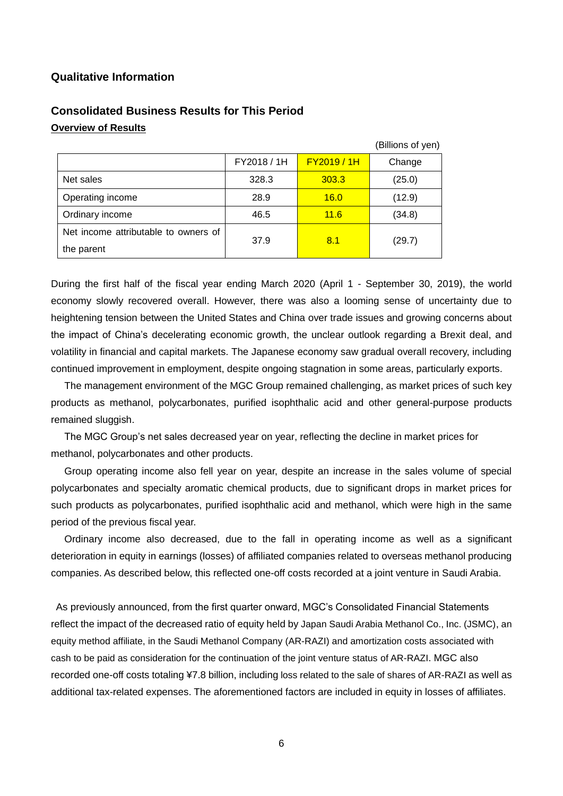### **Qualitative Information**

|                                      |             |                  | (Billions of yen) |
|--------------------------------------|-------------|------------------|-------------------|
|                                      | FY2018 / 1H | <b>FY2019/1H</b> | Change            |
| Net sales                            | 328.3       | 303.3            | (25.0)            |
| Operating income                     | 28.9        | 16.0             | (12.9)            |
| Ordinary income                      | 46.5        | 11.6             | (34.8)            |
| Net income attributable to owners of | 37.9        | 8.1              |                   |
| the parent                           |             |                  | (29.7)            |

# **Consolidated Business Results for This Period Overview of Results**

During the first half of the fiscal year ending March 2020 (April 1 - September 30, 2019), the world economy slowly recovered overall. However, there was also a looming sense of uncertainty due to heightening tension between the United States and China over trade issues and growing concerns about the impact of China's decelerating economic growth, the unclear outlook regarding a Brexit deal, and volatility in financial and capital markets. The Japanese economy saw gradual overall recovery, including continued improvement in employment, despite ongoing stagnation in some areas, particularly exports.

The management environment of the MGC Group remained challenging, as market prices of such key products as methanol, polycarbonates, purified isophthalic acid and other general-purpose products remained sluggish.

The MGC Group's net sales decreased year on year, reflecting the decline in market prices for methanol, polycarbonates and other products.

Group operating income also fell year on year, despite an increase in the sales volume of special polycarbonates and specialty aromatic chemical products, due to significant drops in market prices for such products as polycarbonates, purified isophthalic acid and methanol, which were high in the same period of the previous fiscal year.

Ordinary income also decreased, due to the fall in operating income as well as a significant deterioration in equity in earnings (losses) of affiliated companies related to overseas methanol producing companies. As described below, this reflected one-off costs recorded at a joint venture in Saudi Arabia.

As previously announced, from the first quarter onward, MGC's Consolidated Financial Statements reflect the impact of the decreased ratio of equity held by Japan Saudi Arabia Methanol Co., Inc. (JSMC), an equity method affiliate, in the Saudi Methanol Company (AR-RAZI) and amortization costs associated with cash to be paid as consideration for the continuation of the joint venture status of AR-RAZI. MGC also recorded one-off costs totaling ¥7.8 billion, including loss related to the sale of shares of AR-RAZI as well as additional tax-related expenses. The aforementioned factors are included in equity in losses of affiliates.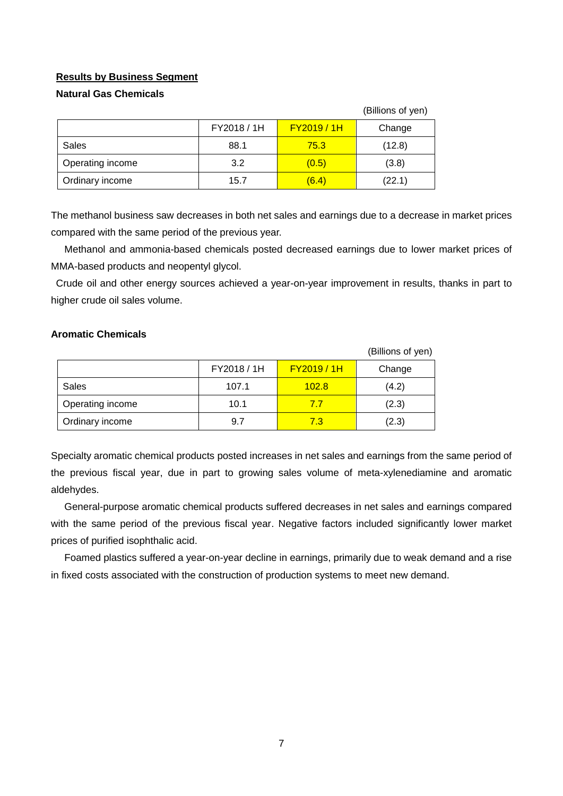### **Results by Business Segment**

### **Natural Gas Chemicals**

|                  |             |                  | (Billions of yen) |
|------------------|-------------|------------------|-------------------|
|                  | FY2018 / 1H | <b>FY2019/1H</b> | Change            |
| Sales            | 88.1        | 75.3             | (12.8)            |
| Operating income | 3.2         | (0.5)            | (3.8)             |
| Ordinary income  | 15.7        | (6.4)            | (22.1)            |

The methanol business saw decreases in both net sales and earnings due to a decrease in market prices compared with the same period of the previous year.

Methanol and ammonia-based chemicals posted decreased earnings due to lower market prices of MMA-based products and neopentyl glycol.

Crude oil and other energy sources achieved a year-on-year improvement in results, thanks in part to higher crude oil sales volume.

### **Aromatic Chemicals**

|                  |             |                  | (Billions of yen) |
|------------------|-------------|------------------|-------------------|
|                  | FY2018 / 1H | <b>FY2019/1H</b> | Change            |
| Sales            | 107.1       | 102.8            | (4.2)             |
| Operating income | 10.1        | 77               | (2.3)             |
| Ordinary income  | 9.7         | 7.3              | (2.3)             |

Specialty aromatic chemical products posted increases in net sales and earnings from the same period of the previous fiscal year, due in part to growing sales volume of meta-xylenediamine and aromatic aldehydes.

General-purpose aromatic chemical products suffered decreases in net sales and earnings compared with the same period of the previous fiscal year. Negative factors included significantly lower market prices of purified isophthalic acid.

Foamed plastics suffered a year-on-year decline in earnings, primarily due to weak demand and a rise in fixed costs associated with the construction of production systems to meet new demand.